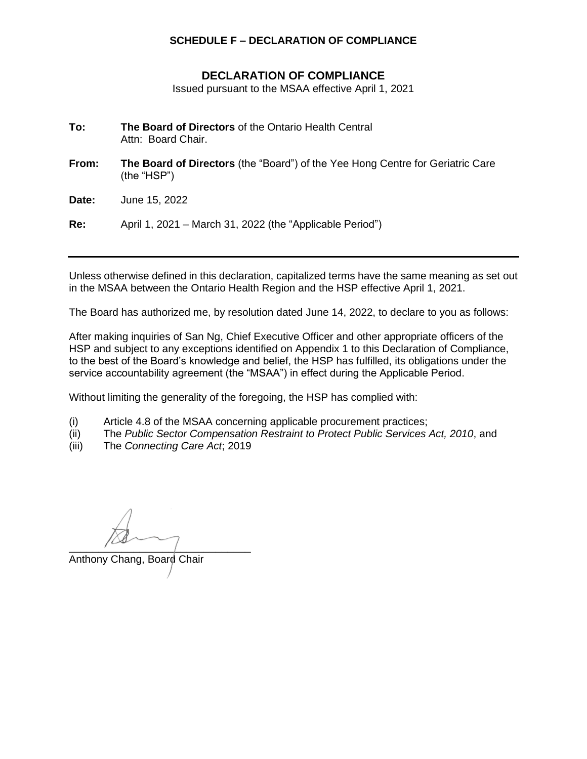## **SCHEDULE F – DECLARATION OF COMPLIANCE**

## **DECLARATION OF COMPLIANCE**

Issued pursuant to the MSAA effective April 1, 2021

- **To: The Board of Directors** of the Ontario Health Central Attn: Board Chair.
- **From: The Board of Directors** (the "Board") of the Yee Hong Centre for Geriatric Care (the "HSP")

**Date:** June 15, 2022

**Re:** April 1, 2021 – March 31, 2022 (the "Applicable Period")

Unless otherwise defined in this declaration, capitalized terms have the same meaning as set out in the MSAA between the Ontario Health Region and the HSP effective April 1, 2021.

The Board has authorized me, by resolution dated June 14, 2022, to declare to you as follows:

After making inquiries of San Ng, Chief Executive Officer and other appropriate officers of the HSP and subject to any exceptions identified on Appendix 1 to this Declaration of Compliance, to the best of the Board's knowledge and belief, the HSP has fulfilled, its obligations under the service accountability agreement (the "MSAA") in effect during the Applicable Period.

Without limiting the generality of the foregoing, the HSP has complied with:

- (i) Article 4.8 of the MSAA concerning applicable procurement practices;
- (ii) The *Public Sector Compensation Restraint to Protect Public Services Act, 2010*, and
- (iii) The *Connecting Care Act*; 2019

 $\overline{\phantom{a}}$ 

Anthony Chang, Board Chair